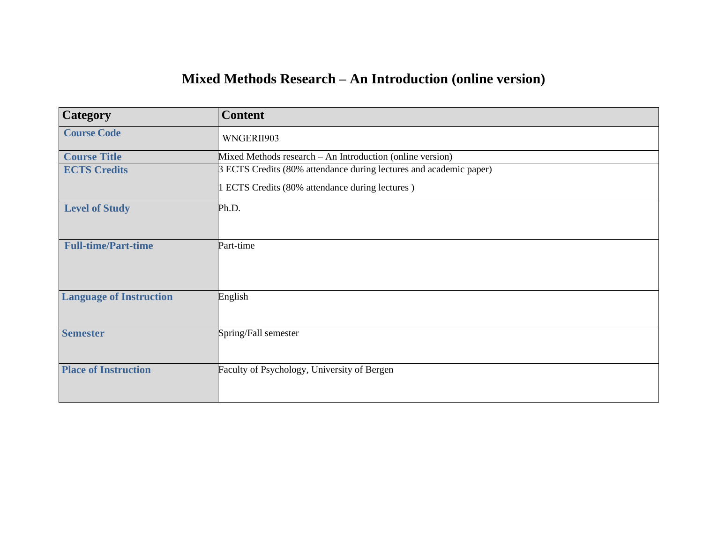## **Mixed Methods Research – An Introduction (online version)**

| <b>Content</b>                                                     |
|--------------------------------------------------------------------|
| WNGERII903                                                         |
| Mixed Methods research – An Introduction (online version)          |
| 3 ECTS Credits (80% attendance during lectures and academic paper) |
| 1 ECTS Credits (80% attendance during lectures)                    |
| Ph.D.                                                              |
|                                                                    |
| Part-time                                                          |
|                                                                    |
|                                                                    |
| English                                                            |
|                                                                    |
| Spring/Fall semester                                               |
|                                                                    |
| Faculty of Psychology, University of Bergen                        |
|                                                                    |
|                                                                    |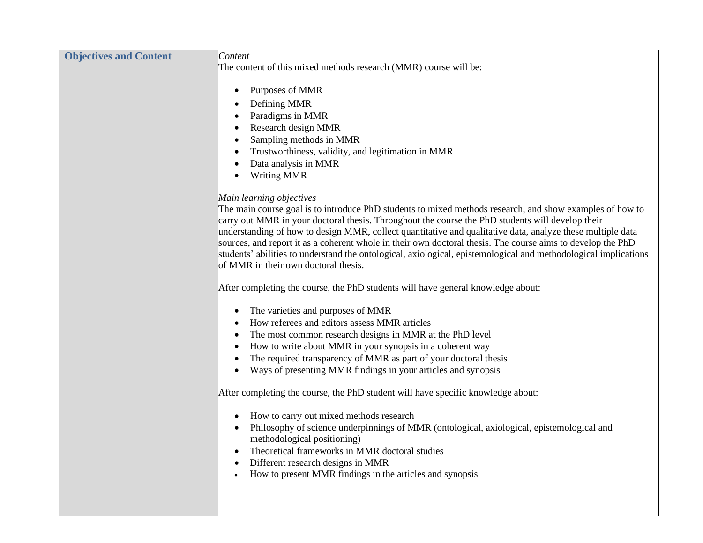| <b>Objectives and Content</b> | Content                                                                                                         |
|-------------------------------|-----------------------------------------------------------------------------------------------------------------|
|                               | The content of this mixed methods research (MMR) course will be:                                                |
|                               |                                                                                                                 |
|                               | Purposes of MMR                                                                                                 |
|                               | Defining MMR                                                                                                    |
|                               | Paradigms in MMR                                                                                                |
|                               | Research design MMR                                                                                             |
|                               | Sampling methods in MMR                                                                                         |
|                               | Trustworthiness, validity, and legitimation in MMR                                                              |
|                               | Data analysis in MMR                                                                                            |
|                               | <b>Writing MMR</b>                                                                                              |
|                               | Main learning objectives                                                                                        |
|                               | The main course goal is to introduce PhD students to mixed methods research, and show examples of how to        |
|                               | carry out MMR in your doctoral thesis. Throughout the course the PhD students will develop their                |
|                               | understanding of how to design MMR, collect quantitative and qualitative data, analyze these multiple data      |
|                               | sources, and report it as a coherent whole in their own doctoral thesis. The course aims to develop the PhD     |
|                               | students' abilities to understand the ontological, axiological, epistemological and methodological implications |
|                               | of MMR in their own doctoral thesis.                                                                            |
|                               | After completing the course, the PhD students will have general knowledge about:                                |
|                               |                                                                                                                 |
|                               | The varieties and purposes of MMR                                                                               |
|                               | How referees and editors assess MMR articles                                                                    |
|                               | The most common research designs in MMR at the PhD level                                                        |
|                               | How to write about MMR in your synopsis in a coherent way                                                       |
|                               | The required transparency of MMR as part of your doctoral thesis                                                |
|                               | Ways of presenting MMR findings in your articles and synopsis                                                   |
|                               | After completing the course, the PhD student will have specific knowledge about:                                |
|                               | How to carry out mixed methods research                                                                         |
|                               | Philosophy of science underpinnings of MMR (ontological, axiological, epistemological and                       |
|                               | methodological positioning)                                                                                     |
|                               | Theoretical frameworks in MMR doctoral studies                                                                  |
|                               | Different research designs in MMR                                                                               |
|                               | How to present MMR findings in the articles and synopsis                                                        |
|                               |                                                                                                                 |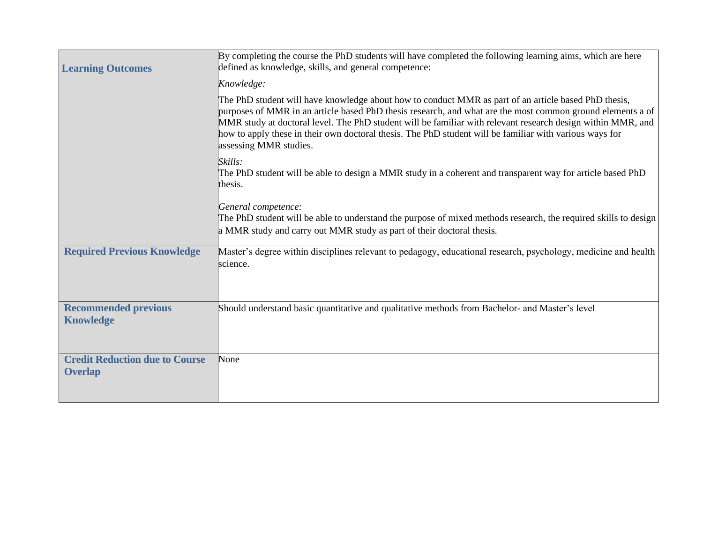| <b>Learning Outcomes</b>                                | By completing the course the PhD students will have completed the following learning aims, which are here<br>defined as knowledge, skills, and general competence:                                                                                                                                                                                                                                                                                                     |
|---------------------------------------------------------|------------------------------------------------------------------------------------------------------------------------------------------------------------------------------------------------------------------------------------------------------------------------------------------------------------------------------------------------------------------------------------------------------------------------------------------------------------------------|
|                                                         | Knowledge:                                                                                                                                                                                                                                                                                                                                                                                                                                                             |
|                                                         | The PhD student will have knowledge about how to conduct MMR as part of an article based PhD thesis,<br>purposes of MMR in an article based PhD thesis research, and what are the most common ground elements a of<br>MMR study at doctoral level. The PhD student will be familiar with relevant research design within MMR, and<br>how to apply these in their own doctoral thesis. The PhD student will be familiar with various ways for<br>assessing MMR studies. |
|                                                         | Skills:<br>The PhD student will be able to design a MMR study in a coherent and transparent way for article based PhD<br>thesis.                                                                                                                                                                                                                                                                                                                                       |
|                                                         | General competence:<br>The PhD student will be able to understand the purpose of mixed methods research, the required skills to design<br>a MMR study and carry out MMR study as part of their doctoral thesis.                                                                                                                                                                                                                                                        |
| <b>Required Previous Knowledge</b>                      | Master's degree within disciplines relevant to pedagogy, educational research, psychology, medicine and health<br>science.                                                                                                                                                                                                                                                                                                                                             |
| <b>Recommended previous</b><br><b>Knowledge</b>         | Should understand basic quantitative and qualitative methods from Bachelor- and Master's level                                                                                                                                                                                                                                                                                                                                                                         |
| <b>Credit Reduction due to Course</b><br><b>Overlap</b> | None                                                                                                                                                                                                                                                                                                                                                                                                                                                                   |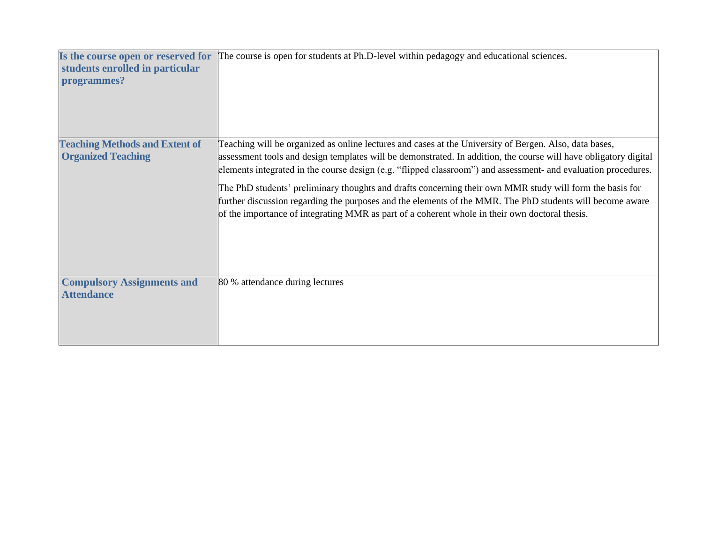| Is the course open or reserved for<br>students enrolled in particular<br>programmes? | The course is open for students at Ph.D-level within pedagogy and educational sciences.                                                                                                                                                                                                                                                                                                                                                                                                                                                                                                                                                                                 |
|--------------------------------------------------------------------------------------|-------------------------------------------------------------------------------------------------------------------------------------------------------------------------------------------------------------------------------------------------------------------------------------------------------------------------------------------------------------------------------------------------------------------------------------------------------------------------------------------------------------------------------------------------------------------------------------------------------------------------------------------------------------------------|
| <b>Teaching Methods and Extent of</b><br><b>Organized Teaching</b>                   | Teaching will be organized as online lectures and cases at the University of Bergen. Also, data bases,<br>assessment tools and design templates will be demonstrated. In addition, the course will have obligatory digital<br>elements integrated in the course design (e.g. "flipped classroom") and assessment- and evaluation procedures.<br>The PhD students' preliminary thoughts and drafts concerning their own MMR study will form the basis for<br>further discussion regarding the purposes and the elements of the MMR. The PhD students will become aware<br>of the importance of integrating MMR as part of a coherent whole in their own doctoral thesis. |
| <b>Compulsory Assignments and</b><br><b>Attendance</b>                               | 80 % attendance during lectures                                                                                                                                                                                                                                                                                                                                                                                                                                                                                                                                                                                                                                         |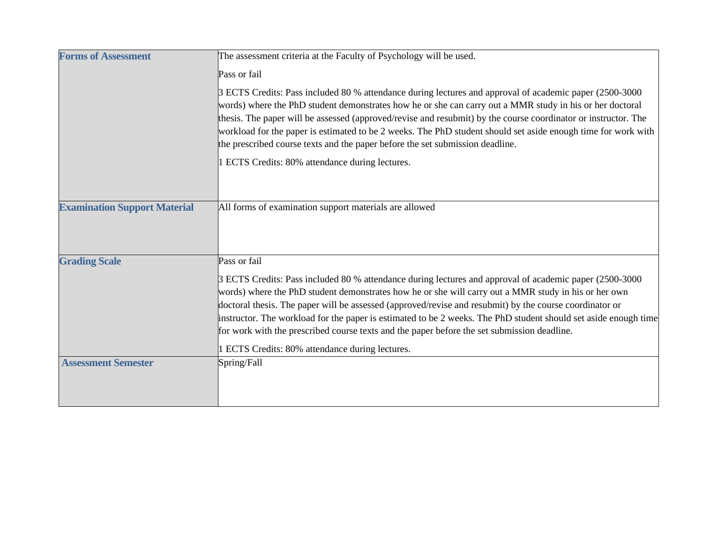| <b>Forms of Assessment</b>          | The assessment criteria at the Faculty of Psychology will be used.                                                                                                                                                                                                                                                                                                                                                                                                                                                                                                                         |
|-------------------------------------|--------------------------------------------------------------------------------------------------------------------------------------------------------------------------------------------------------------------------------------------------------------------------------------------------------------------------------------------------------------------------------------------------------------------------------------------------------------------------------------------------------------------------------------------------------------------------------------------|
|                                     | Pass or fail                                                                                                                                                                                                                                                                                                                                                                                                                                                                                                                                                                               |
|                                     | 3 ECTS Credits: Pass included 80 % attendance during lectures and approval of academic paper (2500-3000<br>words) where the PhD student demonstrates how he or she can carry out a MMR study in his or her doctoral<br>thesis. The paper will be assessed (approved/revise and resubmit) by the course coordinator or instructor. The<br>workload for the paper is estimated to be 2 weeks. The PhD student should set aside enough time for work with<br>the prescribed course texts and the paper before the set submission deadline.<br>1 ECTS Credits: 80% attendance during lectures. |
| <b>Examination Support Material</b> | All forms of examination support materials are allowed                                                                                                                                                                                                                                                                                                                                                                                                                                                                                                                                     |
| <b>Grading Scale</b>                | Pass or fail                                                                                                                                                                                                                                                                                                                                                                                                                                                                                                                                                                               |
|                                     | 3 ECTS Credits: Pass included 80 % attendance during lectures and approval of academic paper (2500-3000<br>words) where the PhD student demonstrates how he or she will carry out a MMR study in his or her own<br>doctoral thesis. The paper will be assessed (approved/revise and resubmit) by the course coordinator or<br>instructor. The workload for the paper is estimated to be 2 weeks. The PhD student should set aside enough time<br>for work with the prescribed course texts and the paper before the set submission deadline.                                               |
|                                     | 1 ECTS Credits: 80% attendance during lectures.                                                                                                                                                                                                                                                                                                                                                                                                                                                                                                                                            |
| <b>Assessment Semester</b>          | Spring/Fall                                                                                                                                                                                                                                                                                                                                                                                                                                                                                                                                                                                |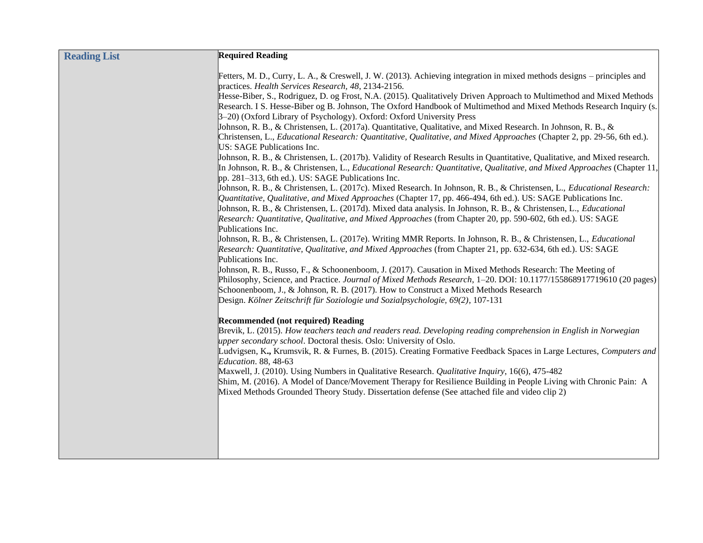| <b>Reading List</b> | <b>Required Reading</b>                                                                                                                                                                                                                 |
|---------------------|-----------------------------------------------------------------------------------------------------------------------------------------------------------------------------------------------------------------------------------------|
|                     |                                                                                                                                                                                                                                         |
|                     | Fetters, M. D., Curry, L. A., & Creswell, J. W. (2013). Achieving integration in mixed methods designs – principles and                                                                                                                 |
|                     | practices. Health Services Research, 48, 2134-2156.<br>Hesse-Biber, S., Rodriguez, D. og Frost, N.A. (2015). Qualitatively Driven Approach to Multimethod and Mixed Methods                                                             |
|                     | Research. I S. Hesse-Biber og B. Johnson, The Oxford Handbook of Multimethod and Mixed Methods Research Inquiry (s.                                                                                                                     |
|                     | 3-20) (Oxford Library of Psychology). Oxford: Oxford University Press                                                                                                                                                                   |
|                     | Johnson, R. B., & Christensen, L. (2017a). Quantitative, Qualitative, and Mixed Research. In Johnson, R. B., &                                                                                                                          |
|                     | Christensen, L., Educational Research: Quantitative, Qualitative, and Mixed Approaches (Chapter 2, pp. 29-56, 6th ed.).                                                                                                                 |
|                     | US: SAGE Publications Inc.                                                                                                                                                                                                              |
|                     | Johnson, R. B., & Christensen, L. (2017b). Validity of Research Results in Quantitative, Qualitative, and Mixed research.                                                                                                               |
|                     | In Johnson, R. B., & Christensen, L., <i>Educational Research: Quantitative, Qualitative, and Mixed Approaches</i> (Chapter 11                                                                                                          |
|                     | pp. 281–313, 6th ed.). US: SAGE Publications Inc.                                                                                                                                                                                       |
|                     | Johnson, R. B., & Christensen, L. (2017c). Mixed Research. In Johnson, R. B., & Christensen, L., <i>Educational Research</i> :                                                                                                          |
|                     | Quantitative, Qualitative, and Mixed Approaches (Chapter 17, pp. 466-494, 6th ed.). US: SAGE Publications Inc.                                                                                                                          |
|                     | Johnson, R. B., & Christensen, L. (2017d). Mixed data analysis. In Johnson, R. B., & Christensen, L., <i>Educational</i><br>Research: Quantitative, Qualitative, and Mixed Approaches (from Chapter 20, pp. 590-602, 6th ed.). US: SAGE |
|                     | Publications Inc.                                                                                                                                                                                                                       |
|                     | Johnson, R. B., & Christensen, L. (2017e). Writing MMR Reports. In Johnson, R. B., & Christensen, L., Educational                                                                                                                       |
|                     | Research: Quantitative, Qualitative, and Mixed Approaches (from Chapter 21, pp. 632-634, 6th ed.). US: SAGE                                                                                                                             |
|                     | Publications Inc.                                                                                                                                                                                                                       |
|                     | Johnson, R. B., Russo, F., & Schoonenboom, J. (2017). Causation in Mixed Methods Research: The Meeting of                                                                                                                               |
|                     | Philosophy, Science, and Practice. Journal of Mixed Methods Research, 1-20. DOI: 10.1177/155868917719610 (20 pages)                                                                                                                     |
|                     | Schoonenboom, J., & Johnson, R. B. (2017). How to Construct a Mixed Methods Research                                                                                                                                                    |
|                     | Design. Kölner Zeitschrift für Soziologie und Sozialpsychologie, 69(2), 107-131                                                                                                                                                         |
|                     | <b>Recommended (not required) Reading</b>                                                                                                                                                                                               |
|                     | Brevik, L. (2015). How teachers teach and readers read. Developing reading comprehension in English in Norwegian                                                                                                                        |
|                     | upper secondary school. Doctoral thesis. Oslo: University of Oslo.                                                                                                                                                                      |
|                     | Ludvigsen, K., Krumsvik, R. & Furnes, B. (2015). Creating Formative Feedback Spaces in Large Lectures, Computers and                                                                                                                    |
|                     | Education. 88, 48-63                                                                                                                                                                                                                    |
|                     | Maxwell, J. (2010). Using Numbers in Qualitative Research. Qualitative Inquiry, 16(6), 475-482                                                                                                                                          |
|                     | Shim, M. (2016). A Model of Dance/Movement Therapy for Resilience Building in People Living with Chronic Pain: A<br>Mixed Methods Grounded Theory Study. Dissertation defense (See attached file and video clip 2)                      |
|                     |                                                                                                                                                                                                                                         |
|                     |                                                                                                                                                                                                                                         |
|                     |                                                                                                                                                                                                                                         |
|                     |                                                                                                                                                                                                                                         |
|                     |                                                                                                                                                                                                                                         |
|                     |                                                                                                                                                                                                                                         |